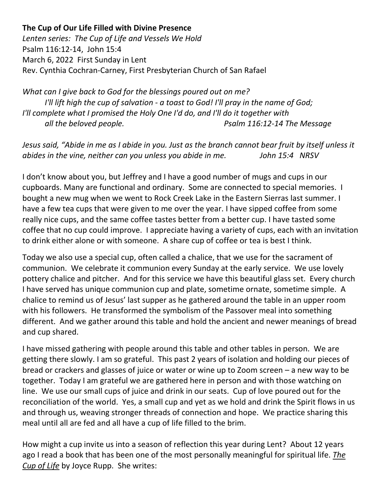## **The Cup of Our Life Filled with Divine Presence**

*Lenten series: The Cup of Life and Vessels We Hold*  Psalm 116:12-14, John 15:4 March 6, 2022 First Sunday in Lent Rev. Cynthia Cochran-Carney, First Presbyterian Church of San Rafael

*What can I give back to God for the blessings poured out on me? I'll lift high the cup of salvation - a toast to God! I'll pray in the name of God; I'll complete what I promised the Holy One I'd do, and I'll do it together with all the beloved people. Psalm 116:12-14 The Message*

*Jesus said, "Abide in me as I abide in you. Just as the branch cannot bear fruit by itself unless it abides in the vine, neither can you unless you abide in me. John 15:4 NRSV*

I don't know about you, but Jeffrey and I have a good number of mugs and cups in our cupboards. Many are functional and ordinary. Some are connected to special memories. I bought a new mug when we went to Rock Creek Lake in the Eastern Sierras last summer. I have a few tea cups that were given to me over the year. I have sipped coffee from some really nice cups, and the same coffee tastes better from a better cup. I have tasted some coffee that no cup could improve. I appreciate having a variety of cups, each with an invitation to drink either alone or with someone. A share cup of coffee or tea is best I think.

Today we also use a special cup, often called a chalice, that we use for the sacrament of communion. We celebrate it communion every Sunday at the early service. We use lovely pottery chalice and pitcher. And for this service we have this beautiful glass set. Every church I have served has unique communion cup and plate, sometime ornate, sometime simple. A chalice to remind us of Jesus' last supper as he gathered around the table in an upper room with his followers. He transformed the symbolism of the Passover meal into something different. And we gather around this table and hold the ancient and newer meanings of bread and cup shared.

I have missed gathering with people around this table and other tables in person. We are getting there slowly. I am so grateful. This past 2 years of isolation and holding our pieces of bread or crackers and glasses of juice or water or wine up to Zoom screen – a new way to be together. Today I am grateful we are gathered here in person and with those watching on line. We use our small cups of juice and drink in our seats. Cup of love poured out for the reconciliation of the world. Yes, a small cup and yet as we hold and drink the Spirit flows in us and through us, weaving stronger threads of connection and hope. We practice sharing this meal until all are fed and all have a cup of life filled to the brim.

How might a cup invite us into a season of reflection this year during Lent? About 12 years ago I read a book that has been one of the most personally meaningful for spiritual life. *The Cup of Life* by Joyce Rupp. She writes: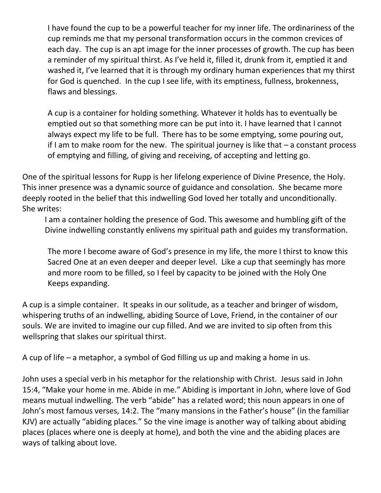I have found the cup to be a powerful teacher for my inner life. The ordinariness of the cup reminds me that my personal transformation occurs in the common crevices of each day. The cup is an apt image for the inner processes of growth. The cup has been a reminder of my spiritual thirst. As I've held it, filled it, drunk from it, emptied it and washed it, I've learned that it is through my ordinary human experiences that my thirst for God is quenched. In the cup I see life, with its emptiness, fullness, brokenness, flaws and blessings.

A cup is a container for holding something. Whatever it holds has to eventually be emptied out so that something more can be put into it. I have learned that I cannot always expect my life to be full. There has to be some emptying, some pouring out, if I am to make room for the new. The spiritual journey is like that  $-$  a constant process of emptying and filling, of giving and receiving, of accepting and letting go.

One of the spiritual lessons for Rupp is her lifelong experience of Divine Presence, the Holy. This inner presence was a dynamic source of guidance and consolation. She became more deeply rooted in the belief that this indwelling God loved her totally and unconditionally. She writes:

I am a container holding the presence of God. This awesome and humbling gift of the Divine indwelling constantly enlivens my spiritual path and guides my transformation.

The more I become aware of God's presence in my life, the more I thirst to know this Sacred One at an even deeper and deeper level. Like a cup that seemingly has more and more room to be filled, so I feel by capacity to be joined with the Holy One Keeps expanding.

A cup is a simple container. It speaks in our solitude, as a teacher and bringer of wisdom, whispering truths of an indwelling, abiding Source of Love, Friend, in the container of our souls. We are invited to imagine our cup filled. And we are invited to sip often from this wellspring that slakes our spiritual thirst.

A cup of life – a metaphor, a symbol of God filling us up and making a home in us.

John uses a special verb in his metaphor for the relationship with Christ. Jesus said in John 15:4, "Make your home in me. Abide in me." Abiding is important in John, where love of God means mutual indwelling. The verb "abide" has a related word; this noun appears in one of John's most famous verses, 14:2. The "many mansions in the Father's house" (in the familiar KJV) are actually "abiding places." So the vine image is another way of talking about abiding places (places where one is deeply at home), and both the vine and the abiding places are ways of talking about love.